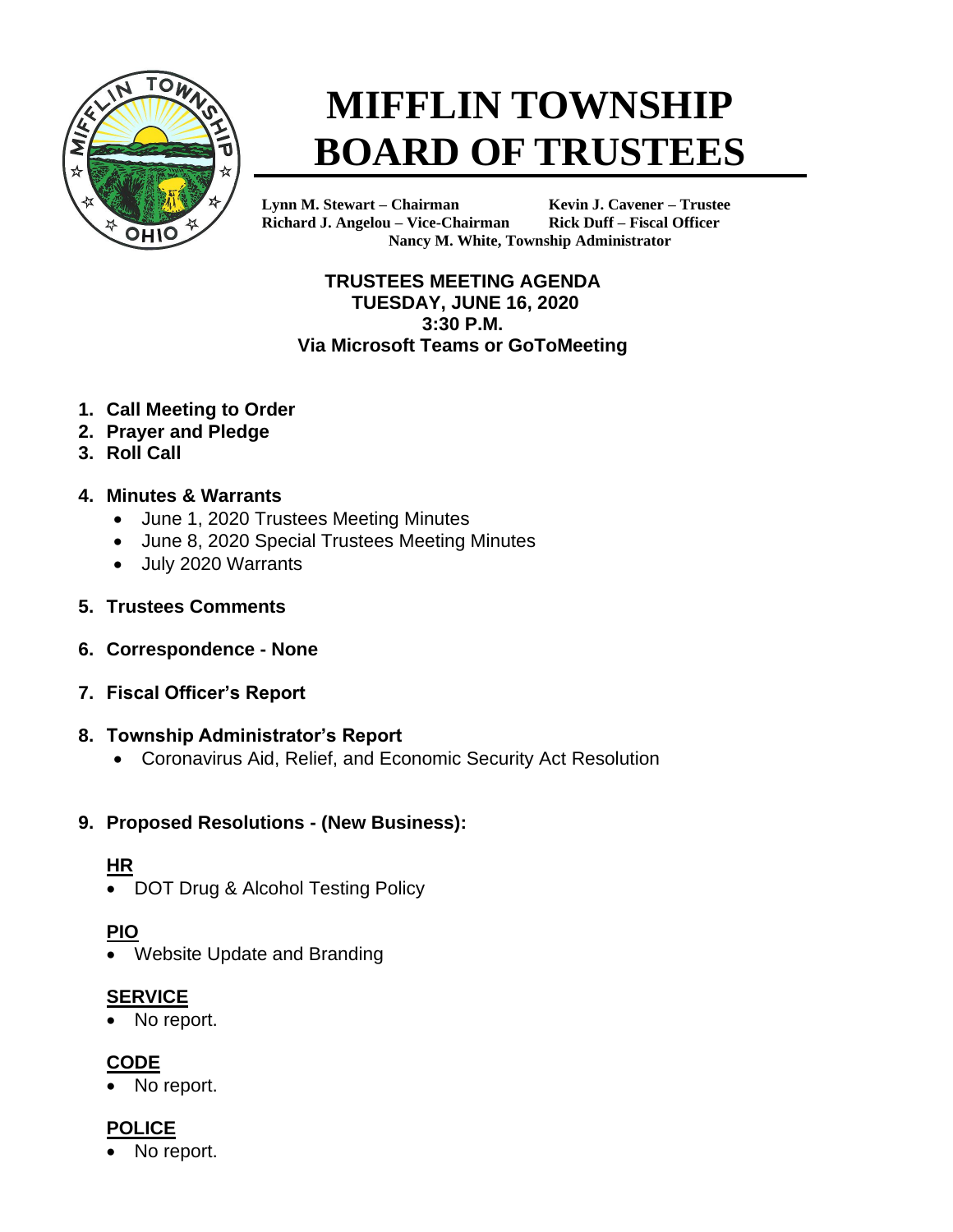

# **MIFFLIN TOWNSHIP BOARD OF TRUSTEES**

**Lynn M. Stewart – Chairman Kevin J. Cavener – Trustee Richard J. Angelou – Vice-Chairman Rick Duff – Fiscal Officer Nancy M. White, Township Administrator**

#### **TRUSTEES MEETING AGENDA TUESDAY, JUNE 16, 2020 3:30 P.M. Via Microsoft Teams or GoToMeeting**

- **1. Call Meeting to Order**
- **2. Prayer and Pledge**
- **3. Roll Call**

## **4. Minutes & Warrants**

- June 1, 2020 Trustees Meeting Minutes
- June 8, 2020 Special Trustees Meeting Minutes
- July 2020 Warrants
- **5. Trustees Comments**
- **6. Correspondence - None**
- **7. Fiscal Officer's Report**

#### **8. Township Administrator's Report**

• Coronavirus Aid, Relief, and Economic Security Act Resolution

## **9. Proposed Resolutions - (New Business):**

## **HR**

• DOT Drug & Alcohol Testing Policy

# **PIO**

• Website Update and Branding

## **SERVICE**

• No report.

# **CODE**

• No report.

# **POLICE**

No report.